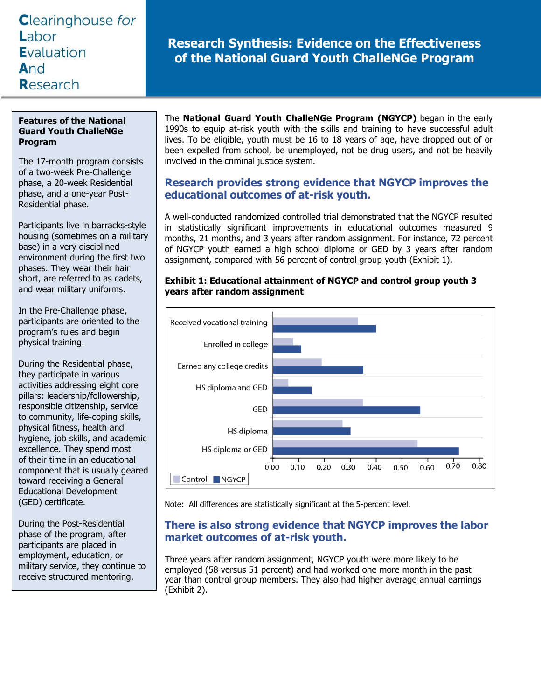# **Clearinghouse for** Labor Evaluation And Research

# **Research Synthesis: Evidence on the Effectiveness of the National Guard Youth ChalleNGe Program**

### **Features of the National Guard Youth ChalleNGe Program**

The 17-month program consists of a two-week Pre-Challenge phase, a 20-week Residential phase, and a one-year Post-Residential phase.

Participants live in barracks-style housing (sometimes on a military base) in a very disciplined environment during the first two phases. They wear their hair short, are referred to as cadets, and wear military uniforms.

In the Pre-Challenge phase, participants are oriented to the program's rules and begin physical training.

During the Residential phase, they participate in various activities addressing eight core pillars: leadership/followership, responsible citizenship, service to community, life-coping skills, physical fitness, health and hygiene, job skills, and academic excellence. They spend most of their time in an educational component that is usually geared toward receiving a General Educational Development (GED) certificate.

During the Post-Residential phase of the program, after participants are placed in employment, education, or military service, they continue to receive structured mentoring.

The **National Guard Youth ChalleNGe Program (NGYCP)** began in the early 1990s to equip at-risk youth with the skills and training to have successful adult lives. To be eligible, youth must be 16 to 18 years of age, have dropped out of or been expelled from school, be unemployed, not be drug users, and not be heavily involved in the criminal justice system.

# **Research provides strong evidence that NGYCP improves the educational outcomes of at-risk youth.**

A well-conducted randomized controlled trial demonstrated that the NGYCP resulted in statistically significant improvements in educational outcomes measured 9 months, 21 months, and 3 years after random assignment. For instance, 72 percent of NGYCP youth earned a high school diploma or GED by 3 years after random assignment, compared with 56 percent of control group youth (Exhibit 1).



#### **Exhibit 1: Educational attainment of NGYCP and control group youth 3 years after random assignment**

Note: All differences are statistically significant at the 5-percent level.

# **There is also strong evidence that NGYCP improves the labor market outcomes of at-risk youth.**

Three years after random assignment, NGYCP youth were more likely to be employed (58 versus 51 percent) and had worked one more month in the past year than control group members. They also had higher average annual earnings (Exhibit 2).